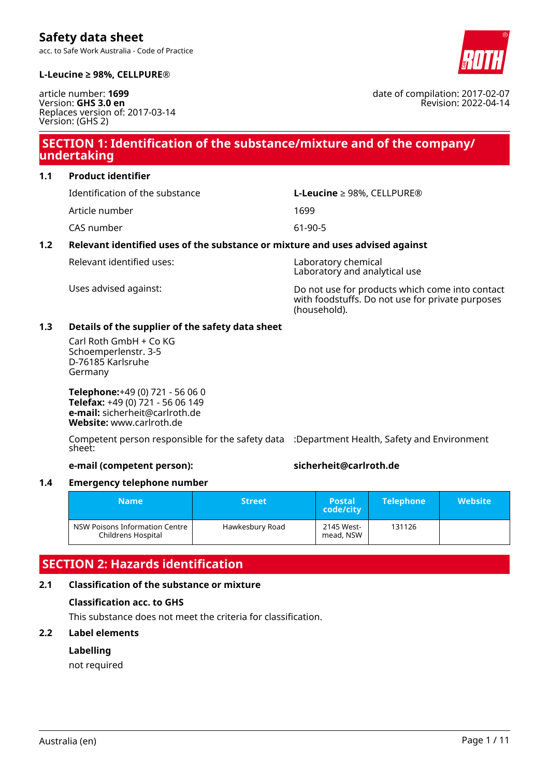acc. to Safe Work Australia - Code of Practice



date of compilation: 2017-02-07

Revision: 2022-04-14

#### **L-Leucine ≥ 98%, CELLPURE®**

article number: **1699** Version: **GHS 3.0 en** Replaces version of: 2017-03-14 Version: (GHS 2)

# **SECTION 1: Identification of the substance/mixture and of the company/ undertaking**

**1.1 Product identifier**

Article number 1699

CAS number 61-90-5

Identification of the substance **L-Leucine** ≥ 98%, CELLPURE®

# **1.2 Relevant identified uses of the substance or mixture and uses advised against**

Relevant identified uses: Laboratory chemical

Laboratory and analytical use

Uses advised against: Do not use for products which come into contact with foodstuffs. Do not use for private purposes (household).

### **1.3 Details of the supplier of the safety data sheet**

Carl Roth GmbH + Co KG Schoemperlenstr. 3-5 D-76185 Karlsruhe Germany

**Telephone:**+49 (0) 721 - 56 06 0 **Telefax:** +49 (0) 721 - 56 06 149 **e-mail:** sicherheit@carlroth.de **Website:** www.carlroth.de

Competent person responsible for the safety data :Department Health, Safety and Environment sheet:

**e-mail (competent person): sicherheit@carlroth.de**

# **1.4 Emergency telephone number**

| <b>Name</b>                                          | <b>Street</b> ' | <b>Postal</b><br>code/city | <b>Telephone</b> | <b>Website</b> |
|------------------------------------------------------|-----------------|----------------------------|------------------|----------------|
| NSW Poisons Information Centre<br>Childrens Hospital | Hawkesbury Road | 2145 West-<br>mead, NSW    | 131126           |                |

# **SECTION 2: Hazards identification**

# **2.1 Classification of the substance or mixture**

# **Classification acc. to GHS**

This substance does not meet the criteria for classification.

# **2.2 Label elements**

# **Labelling**

not required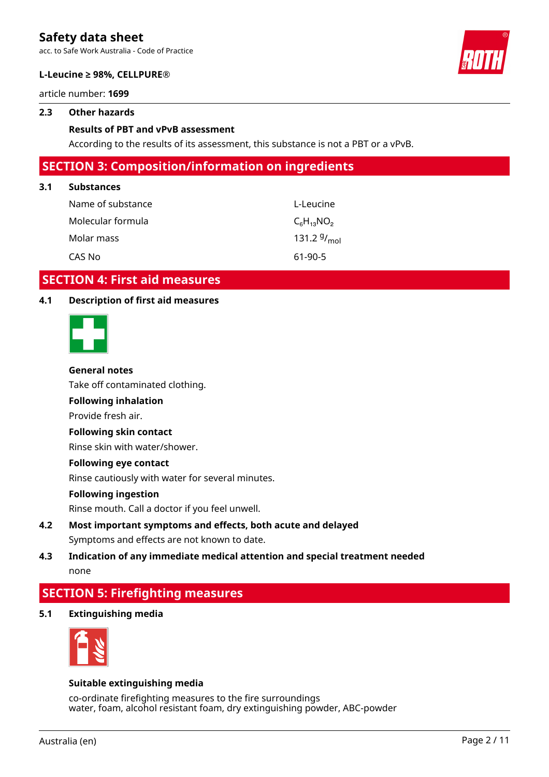acc. to Safe Work Australia - Code of Practice



#### **L-Leucine ≥ 98%, CELLPURE®**

article number: **1699**

#### **2.3 Other hazards**

#### **Results of PBT and vPvB assessment**

According to the results of its assessment, this substance is not a PBT or a vPvB.

# **SECTION 3: Composition/information on ingredients**

#### **3.1 Substances**

| Name of substance | L-Leucine        |
|-------------------|------------------|
| Molecular formula | $C_6H_{13}NO_2$  |
| Molar mass        | 131.2 $9/_{mol}$ |
| CAS No            | $61-90-5$        |

# **SECTION 4: First aid measures**

## **4.1 Description of first aid measures**



#### **General notes**

Take off contaminated clothing.

# **Following inhalation**

Provide fresh air.

#### **Following skin contact**

Rinse skin with water/shower.

#### **Following eye contact**

Rinse cautiously with water for several minutes.

#### **Following ingestion**

Rinse mouth. Call a doctor if you feel unwell.

# **4.2 Most important symptoms and effects, both acute and delayed** Symptoms and effects are not known to date.

# **4.3 Indication of any immediate medical attention and special treatment needed** none

# **SECTION 5: Firefighting measures**

**5.1 Extinguishing media**



#### **Suitable extinguishing media**

co-ordinate firefighting measures to the fire surroundings water, foam, alcohol resistant foam, dry extinguishing powder, ABC-powder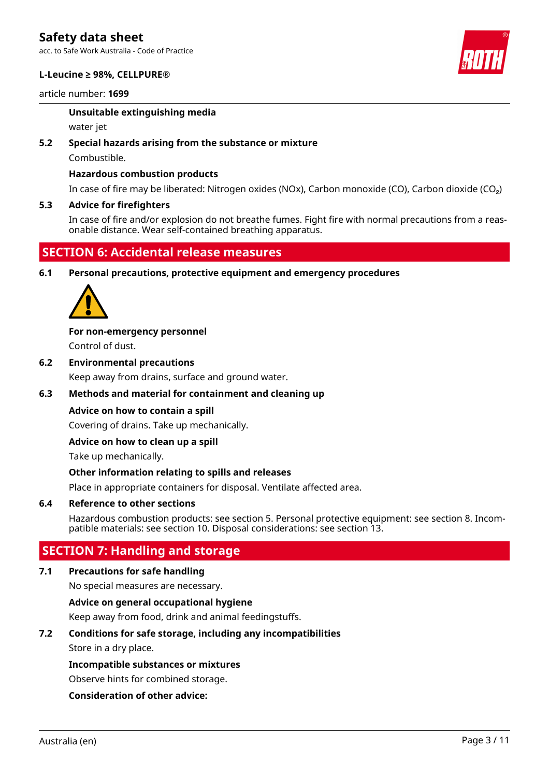acc. to Safe Work Australia - Code of Practice

#### **L-Leucine ≥ 98%, CELLPURE®**

article number: **1699**



### **Unsuitable extinguishing media**

water jet

# **5.2 Special hazards arising from the substance or mixture**

Combustible.

# **Hazardous combustion products**

In case of fire may be liberated: Nitrogen oxides (NOx), Carbon monoxide (CO), Carbon dioxide (CO₂)

### **5.3 Advice for firefighters**

In case of fire and/or explosion do not breathe fumes. Fight fire with normal precautions from a reasonable distance. Wear self-contained breathing apparatus.

# **SECTION 6: Accidental release measures**

**6.1 Personal precautions, protective equipment and emergency procedures**



**For non-emergency personnel**

Control of dust.

**6.2 Environmental precautions**

Keep away from drains, surface and ground water.

# **6.3 Methods and material for containment and cleaning up**

# **Advice on how to contain a spill**

Covering of drains. Take up mechanically.

#### **Advice on how to clean up a spill**

Take up mechanically.

#### **Other information relating to spills and releases**

Place in appropriate containers for disposal. Ventilate affected area.

#### **6.4 Reference to other sections**

Hazardous combustion products: see section 5. Personal protective equipment: see section 8. Incompatible materials: see section 10. Disposal considerations: see section 13.

# **SECTION 7: Handling and storage**

#### **7.1 Precautions for safe handling**

No special measures are necessary.

# **Advice on general occupational hygiene**

Keep away from food, drink and animal feedingstuffs.

# **7.2 Conditions for safe storage, including any incompatibilities**

Store in a dry place.

#### **Incompatible substances or mixtures**

Observe hints for combined storage.

# **Consideration of other advice:**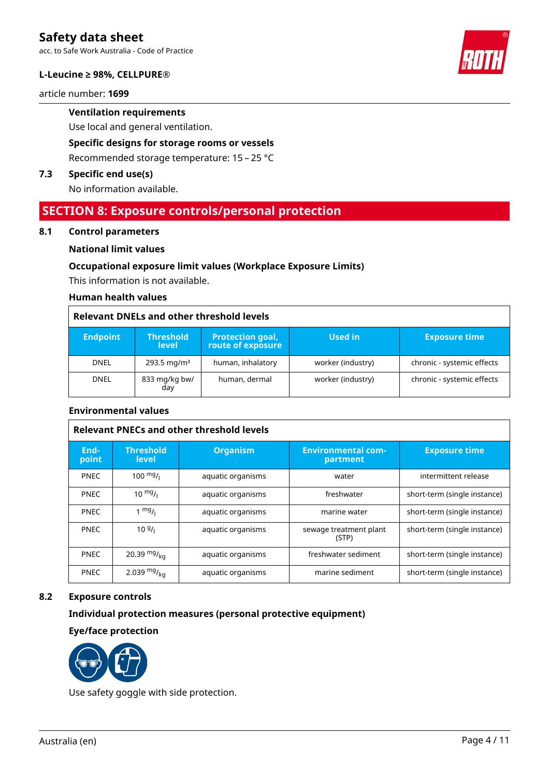acc. to Safe Work Australia - Code of Practice

#### **L-Leucine ≥ 98%, CELLPURE®**

article number: **1699**

# **Ventilation requirements**

Use local and general ventilation.

# **Specific designs for storage rooms or vessels**

Recommended storage temperature: 15 – 25 °C

### **7.3 Specific end use(s)**

No information available.

# **SECTION 8: Exposure controls/personal protection**

#### **8.1 Control parameters**

#### **National limit values**

#### **Occupational exposure limit values (Workplace Exposure Limits)**

This information is not available.

## **Human health values**

#### **Relevant DNELs and other threshold levels**

| <b>Endpoint</b> | <b>Threshold</b><br><b>level</b> | <b>Protection goal,</b><br>route of exposure | Used in           | <b>Exposure time</b>       |
|-----------------|----------------------------------|----------------------------------------------|-------------------|----------------------------|
| <b>DNEL</b>     | $293.5 \,\mathrm{mag/m^3}$       | human, inhalatory                            | worker (industry) | chronic - systemic effects |
| <b>DNEL</b>     | 833 mg/kg bw/<br>day             | human, dermal                                | worker (industry) | chronic - systemic effects |

#### **Environmental values**

| <b>Relevant PNECs and other threshold levels</b> |                                  |                   |                                       |                              |  |
|--------------------------------------------------|----------------------------------|-------------------|---------------------------------------|------------------------------|--|
| End-<br>point                                    | <b>Threshold</b><br><b>level</b> | <b>Organism</b>   | <b>Environmental com-</b><br>partment | <b>Exposure time</b>         |  |
| <b>PNEC</b>                                      | $100 \frac{mg}{L}$               | aquatic organisms | water                                 | intermittent release         |  |
| <b>PNEC</b>                                      | $10 \frac{mg}{l}$                | aquatic organisms | freshwater                            | short-term (single instance) |  |
| <b>PNEC</b>                                      | $1 \frac{mg}{l}$                 | aquatic organisms | marine water                          | short-term (single instance) |  |
| <b>PNEC</b>                                      | 109/1                            | aquatic organisms | sewage treatment plant<br>(STP)       | short-term (single instance) |  |
| <b>PNEC</b>                                      | 20.39 $mg/kq$                    | aquatic organisms | freshwater sediment                   | short-term (single instance) |  |
| <b>PNEC</b>                                      | 2.039 $mg/_{kq}$                 | aquatic organisms | marine sediment                       | short-term (single instance) |  |

#### **8.2 Exposure controls**

### **Individual protection measures (personal protective equipment)**

**Eye/face protection**



Use safety goggle with side protection.

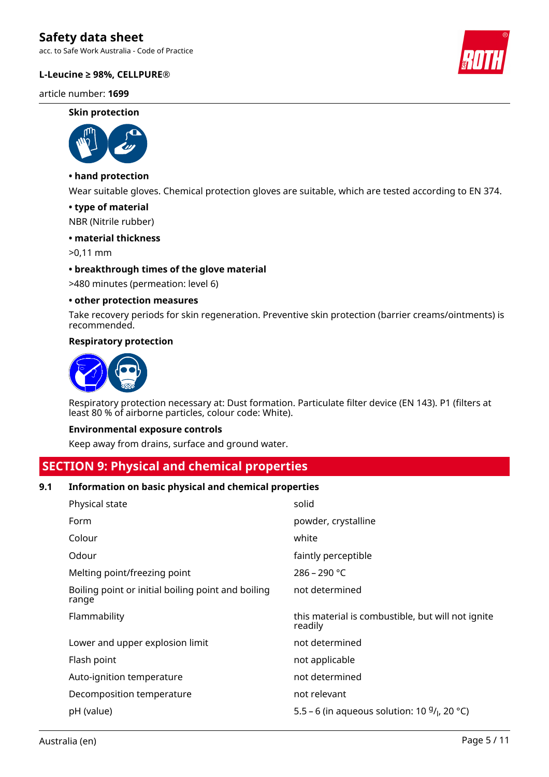acc. to Safe Work Australia - Code of Practice

#### **L-Leucine ≥ 98%, CELLPURE®**

article number: **1699**

#### **Skin protection**



# **• hand protection**

Wear suitable gloves. Chemical protection gloves are suitable, which are tested according to EN 374.

#### **• type of material**

NBR (Nitrile rubber)

#### **• material thickness**

>0,11 mm

#### **• breakthrough times of the glove material**

>480 minutes (permeation: level 6)

#### **• other protection measures**

Take recovery periods for skin regeneration. Preventive skin protection (barrier creams/ointments) is recommended.

#### **Respiratory protection**



Respiratory protection necessary at: Dust formation. Particulate filter device (EN 143). P1 (filters at least 80 % of airborne particles, colour code: White).

#### **Environmental exposure controls**

Keep away from drains, surface and ground water.

# **SECTION 9: Physical and chemical properties**

#### **9.1 Information on basic physical and chemical properties**

| Physical state                                              | solid                                                        |
|-------------------------------------------------------------|--------------------------------------------------------------|
| Form                                                        | powder, crystalline                                          |
| Colour                                                      | white                                                        |
| Odour                                                       | faintly perceptible                                          |
| Melting point/freezing point                                | $286 - 290 °C$                                               |
| Boiling point or initial boiling point and boiling<br>range | not determined                                               |
| Flammability                                                | this material is combustible, but will not ignite<br>readily |
| Lower and upper explosion limit                             | not determined                                               |
| Flash point                                                 | not applicable                                               |
| Auto-ignition temperature                                   | not determined                                               |
| Decomposition temperature                                   | not relevant                                                 |
|                                                             |                                                              |

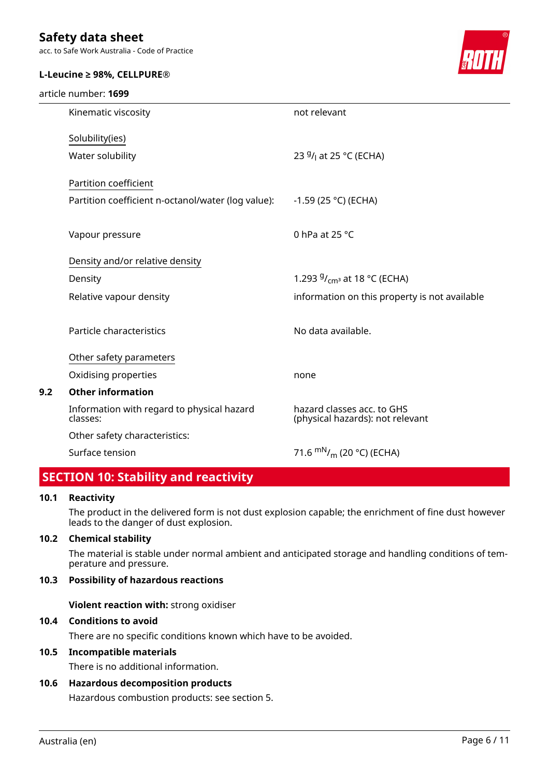acc. to Safe Work Australia - Code of Practice

#### **L-Leucine ≥ 98%, CELLPURE®**

#### article number: **1699**



|     | Kinematic viscosity                                    | not relevant                                                   |
|-----|--------------------------------------------------------|----------------------------------------------------------------|
|     | Solubility(ies)                                        |                                                                |
|     | Water solubility                                       | 23 <sup>g</sup> / <sub>l</sub> at 25 °C (ECHA)                 |
|     | Partition coefficient                                  |                                                                |
|     | Partition coefficient n-octanol/water (log value):     | $-1.59$ (25 °C) (ECHA)                                         |
|     |                                                        |                                                                |
|     | Vapour pressure                                        | 0 hPa at $25 °C$                                               |
|     | Density and/or relative density                        |                                                                |
|     | Density                                                | 1.293 $9/_{cm^3}$ at 18 °C (ECHA)                              |
|     | Relative vapour density                                | information on this property is not available                  |
|     | Particle characteristics                               | No data available.                                             |
|     | Other safety parameters                                |                                                                |
|     | Oxidising properties                                   | none                                                           |
| 9.2 | <b>Other information</b>                               |                                                                |
|     | Information with regard to physical hazard<br>classes: | hazard classes acc. to GHS<br>(physical hazards): not relevant |
|     | Other safety characteristics:                          |                                                                |
|     | Surface tension                                        | 71.6 $\rm{mN}_{/m}$ (20 °C) (ECHA)                             |
|     | <b>STARR</b>                                           |                                                                |

# **SECTION 10: Stability and reactivity**

#### **10.1 Reactivity**

The product in the delivered form is not dust explosion capable; the enrichment of fine dust however leads to the danger of dust explosion.

# **10.2 Chemical stability**

The material is stable under normal ambient and anticipated storage and handling conditions of temperature and pressure.

# **10.3 Possibility of hazardous reactions**

**Violent reaction with:** strong oxidiser

### **10.4 Conditions to avoid**

There are no specific conditions known which have to be avoided.

# **10.5 Incompatible materials**

There is no additional information.

## **10.6 Hazardous decomposition products**

Hazardous combustion products: see section 5.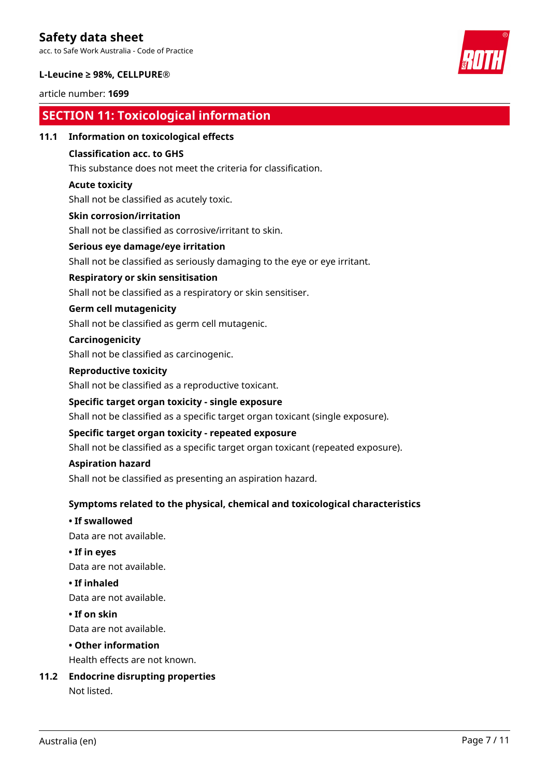acc. to Safe Work Australia - Code of Practice

#### **L-Leucine ≥ 98%, CELLPURE®**

### article number: **1699**

# **SECTION 11: Toxicological information**

#### **11.1 Information on toxicological effects**

## **Classification acc. to GHS**

This substance does not meet the criteria for classification.

### **Acute toxicity**

Shall not be classified as acutely toxic.

#### **Skin corrosion/irritation**

Shall not be classified as corrosive/irritant to skin.

### **Serious eye damage/eye irritation**

Shall not be classified as seriously damaging to the eye or eye irritant.

### **Respiratory or skin sensitisation**

Shall not be classified as a respiratory or skin sensitiser.

### **Germ cell mutagenicity**

Shall not be classified as germ cell mutagenic.

#### **Carcinogenicity**

Shall not be classified as carcinogenic.

### **Reproductive toxicity**

Shall not be classified as a reproductive toxicant.

### **Specific target organ toxicity - single exposure**

Shall not be classified as a specific target organ toxicant (single exposure).

### **Specific target organ toxicity - repeated exposure**

Shall not be classified as a specific target organ toxicant (repeated exposure).

#### **Aspiration hazard**

Shall not be classified as presenting an aspiration hazard.

# **Symptoms related to the physical, chemical and toxicological characteristics**

#### **• If swallowed**

Data are not available.

# **• If in eyes**

Data are not available.

#### **• If inhaled**

Data are not available.

# **• If on skin**

Data are not available.

#### **• Other information**

Health effects are not known.

# **11.2 Endocrine disrupting properties**

Not listed.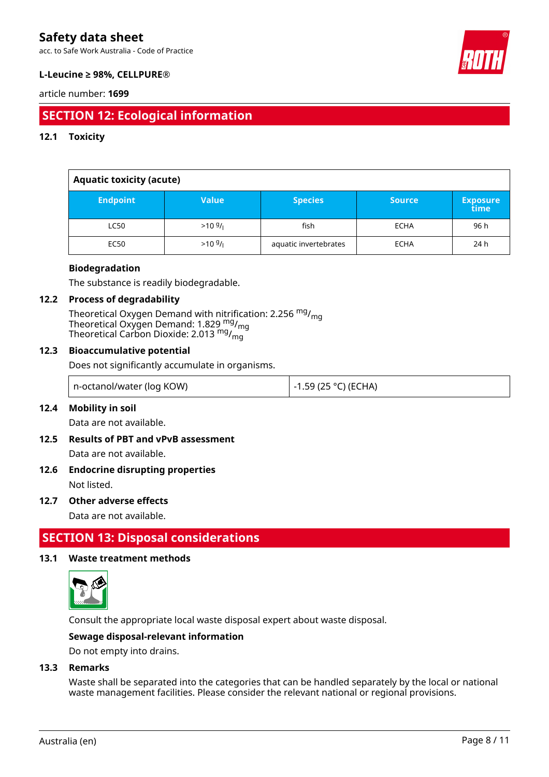acc. to Safe Work Australia - Code of Practice



## **L-Leucine ≥ 98%, CELLPURE®**

#### article number: **1699**

# **SECTION 12: Ecological information**

### **12.1 Toxicity**

| <b>Aquatic toxicity (acute)</b> |                   |                       |               |                         |
|---------------------------------|-------------------|-----------------------|---------------|-------------------------|
| <b>Endpoint</b>                 | <b>Value</b>      | <b>Species</b>        | <b>Source</b> | <b>Exposure</b><br>time |
| <b>LC50</b>                     | $>10 \frac{g}{l}$ | fish                  | <b>ECHA</b>   | 96 h                    |
| <b>EC50</b>                     | $>10^{9}$ /       | aquatic invertebrates | <b>ECHA</b>   | 24 h                    |

#### **Biodegradation**

The substance is readily biodegradable.

#### **12.2 Process of degradability**

Theoretical Oxygen Demand with nitrification: 2.256 <sup>mg</sup>/<sub>mg</sub> Theoretical Oxygen Demand: 1.829  $_{\text{mg}}^{\text{mg}}$ /<sub>mg</sub> Theoretical Carbon Dioxide: 2.013  $^{\mathsf{mg}}\prime_{\mathsf{mg}}$ 

#### **12.3 Bioaccumulative potential**

Does not significantly accumulate in organisms.

| n-octanol/water (log KOW) | ' -1.59 (25 °C) (ECHA) |
|---------------------------|------------------------|
|---------------------------|------------------------|

#### **12.4 Mobility in soil**

Data are not available.

# **12.5 Results of PBT and vPvB assessment**

Data are not available.

# **12.6 Endocrine disrupting properties**

Not listed.

# **12.7 Other adverse effects**

Data are not available.

# **SECTION 13: Disposal considerations**

### **13.1 Waste treatment methods**



Consult the appropriate local waste disposal expert about waste disposal.

#### **Sewage disposal-relevant information**

Do not empty into drains.

#### **13.3 Remarks**

Waste shall be separated into the categories that can be handled separately by the local or national waste management facilities. Please consider the relevant national or regional provisions.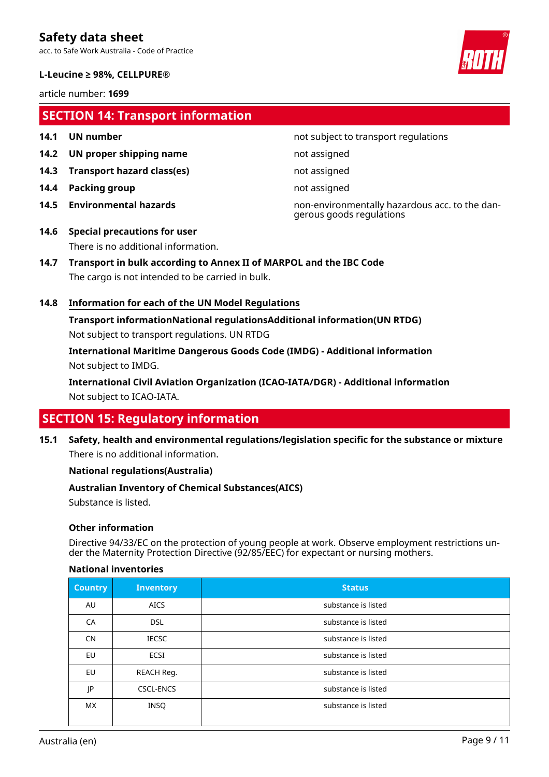acc. to Safe Work Australia - Code of Practice

#### **L-Leucine ≥ 98%, CELLPURE®**

article number: **1699**

# **SECTION 14: Transport information**

- 
- **14.2 UN proper shipping name** not assigned
- **14.3 Transport hazard class(es)** not assigned
- **14.4 Packing group not assigned**
- 
- **14.1 UN number 14.1 UN** number

**14.5 Environmental hazards** non-environmentally hazardous acc. to the dangerous goods regulations

- **14.6 Special precautions for user** There is no additional information.
- **14.7 Transport in bulk according to Annex II of MARPOL and the IBC Code** The cargo is not intended to be carried in bulk.

# **14.8 Information for each of the UN Model Regulations**

**Transport informationNational regulationsAdditional information(UN RTDG)** Not subject to transport regulations. UN RTDG

**International Maritime Dangerous Goods Code (IMDG) - Additional information** Not subject to IMDG.

**International Civil Aviation Organization (ICAO-IATA/DGR) - Additional information** Not subject to ICAO-IATA.

# **SECTION 15: Regulatory information**

**15.1 Safety, health and environmental regulations/legislation specific for the substance or mixture** There is no additional information.

# **National regulations(Australia)**

# **Australian Inventory of Chemical Substances(AICS)**

Substance is listed.

# **Other information**

Directive 94/33/EC on the protection of young people at work. Observe employment restrictions under the Maternity Protection Directive (92/85/EEC) for expectant or nursing mothers.

#### **National inventories**

| <b>Country</b> | <b>Inventory</b> | <b>Status</b>       |
|----------------|------------------|---------------------|
| AU             | <b>AICS</b>      | substance is listed |
| CA             | <b>DSL</b>       | substance is listed |
| <b>CN</b>      | <b>IECSC</b>     | substance is listed |
| EU             | ECSI             | substance is listed |
| <b>EU</b>      | REACH Reg.       | substance is listed |
| JP             | <b>CSCL-ENCS</b> | substance is listed |
| <b>MX</b>      | INSQ             | substance is listed |

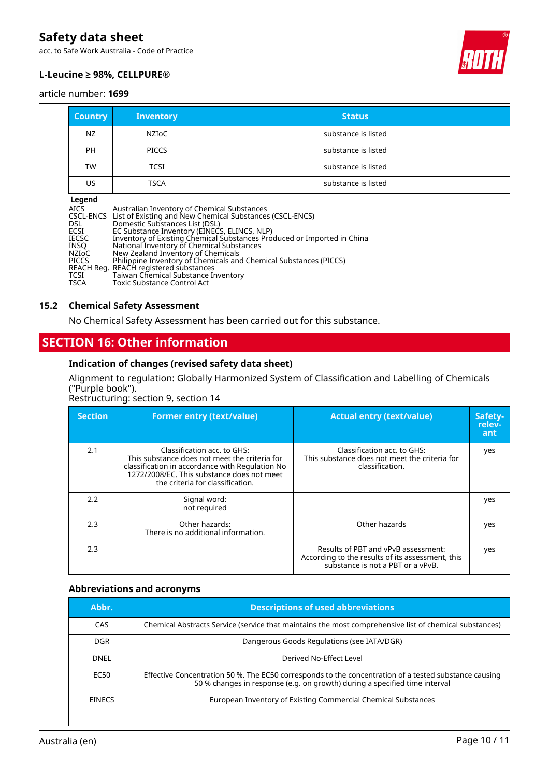acc. to Safe Work Australia - Code of Practice



### **L-Leucine ≥ 98%, CELLPURE®**

#### article number: **1699**

| <b>Country</b> | Inventory    | <b>Status</b>       |
|----------------|--------------|---------------------|
| NZ             | NZIoC        | substance is listed |
| <b>PH</b>      | <b>PICCS</b> | substance is listed |
| <b>TW</b>      | <b>TCSI</b>  | substance is listed |
| US             | <b>TSCA</b>  | substance is listed |
| <b>Logonal</b> |              |                     |

| Australian Inventory of Chemical Substances                             |
|-------------------------------------------------------------------------|
| CSCL-ENCS List of Existing and New Chemical Substances (CSCL-ENCS)      |
| Domestic Substances List (DSL)                                          |
| EC Substance Inventory (EINECS, ELINCS, NLP)                            |
| Inventory of Existing Chemical Substances Produced or Imported in China |
| National Inventory of Chemical Substances                               |
| New Zealand Inventory of Chemicals                                      |
| Philippine Inventory of Chemicals and Chemical Substances (PICCS)       |
| REACH Reg. REACH registered substances                                  |
| Taiwan Chemical Substance Inventory                                     |
| <b>Toxic Substance Control Act</b>                                      |
|                                                                         |

#### **15.2 Chemical Safety Assessment**

No Chemical Safety Assessment has been carried out for this substance.

# **SECTION 16: Other information**

## **Indication of changes (revised safety data sheet)**

# Alignment to regulation: Globally Harmonized System of Classification and Labelling of Chemicals ("Purple book").

Restructuring: section 9, section 14

| <b>Section</b> | <b>Former entry (text/value)</b>                                                                                                                                                                                  | <b>Actual entry (text/value)</b>                                                                                             | Safety-<br>relev-<br>ant |
|----------------|-------------------------------------------------------------------------------------------------------------------------------------------------------------------------------------------------------------------|------------------------------------------------------------------------------------------------------------------------------|--------------------------|
| 2.1            | Classification acc. to GHS:<br>This substance does not meet the criteria for<br>classification in accordance with Regulation No<br>1272/2008/EC. This substance does not meet<br>the criteria for classification. | Classification acc. to GHS:<br>This substance does not meet the criteria for<br>classification.                              | yes                      |
| 2.2            | Signal word:<br>not required                                                                                                                                                                                      |                                                                                                                              | yes                      |
| 2.3            | Other hazards:<br>There is no additional information.                                                                                                                                                             | Other hazards                                                                                                                | yes                      |
| 2.3            |                                                                                                                                                                                                                   | Results of PBT and vPvB assessment:<br>According to the results of its assessment, this<br>substance is not a PBT or a vPvB. | yes                      |

#### **Abbreviations and acronyms**

| Abbr.         | <b>Descriptions of used abbreviations</b>                                                                                                                                           |
|---------------|-------------------------------------------------------------------------------------------------------------------------------------------------------------------------------------|
| CAS           | Chemical Abstracts Service (service that maintains the most comprehensive list of chemical substances)                                                                              |
| DGR.          | Dangerous Goods Regulations (see IATA/DGR)                                                                                                                                          |
| <b>DNEL</b>   | Derived No-Effect Level                                                                                                                                                             |
| EC50          | Effective Concentration 50 %. The EC50 corresponds to the concentration of a tested substance causing<br>50 % changes in response (e.g. on growth) during a specified time interval |
| <b>EINECS</b> | European Inventory of Existing Commercial Chemical Substances                                                                                                                       |